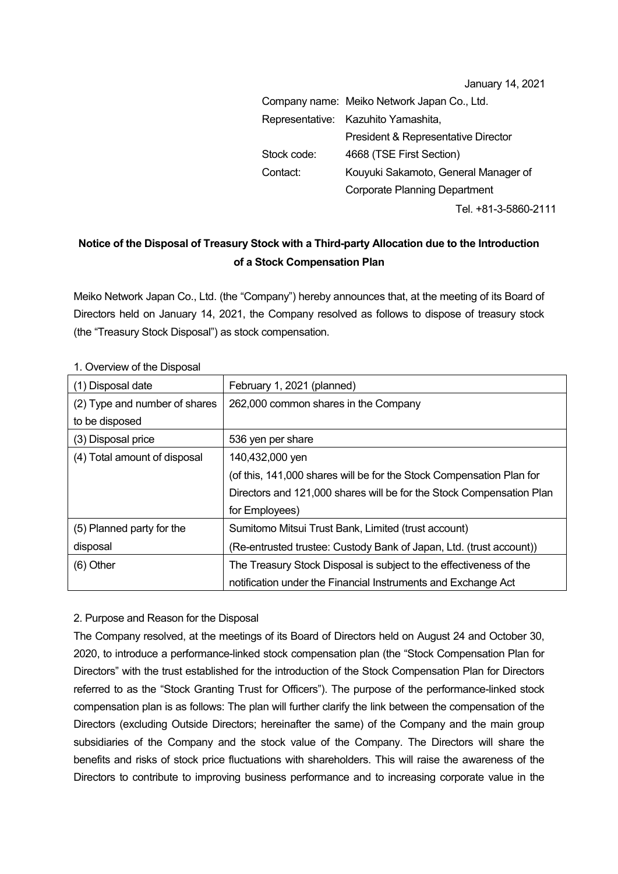| January 14, 2021 |  |  |
|------------------|--|--|
|------------------|--|--|

|             | Company name: Meiko Network Japan Co., Ltd.    |
|-------------|------------------------------------------------|
|             | Representative: Kazuhito Yamashita,            |
|             | <b>President &amp; Representative Director</b> |
| Stock code: | 4668 (TSE First Section)                       |
| Contact:    | Kouyuki Sakamoto, General Manager of           |
|             | <b>Corporate Planning Department</b>           |
|             | Tel. +81-3-5860-2111                           |

## **Notice of the Disposal of Treasury Stock with a Third-party Allocation due to the Introduction of a Stock Compensation Plan**

Meiko Network Japan Co., Ltd. (the "Company") hereby announces that, at the meeting of its Board of Directors held on January 14, 2021, the Company resolved as follows to dispose of treasury stock (the "Treasury Stock Disposal") as stock compensation.

| (1) Disposal date             | February 1, 2021 (planned)                                           |
|-------------------------------|----------------------------------------------------------------------|
| (2) Type and number of shares | 262,000 common shares in the Company                                 |
| to be disposed                |                                                                      |
| (3) Disposal price            | 536 yen per share                                                    |
| (4) Total amount of disposal  | 140,432,000 yen                                                      |
|                               | (of this, 141,000 shares will be for the Stock Compensation Plan for |
|                               | Directors and 121,000 shares will be for the Stock Compensation Plan |
|                               | for Employees)                                                       |
| (5) Planned party for the     | Sumitomo Mitsui Trust Bank, Limited (trust account)                  |
| disposal                      | (Re-entrusted trustee: Custody Bank of Japan, Ltd. (trust account))  |
| $(6)$ Other                   | The Treasury Stock Disposal is subject to the effectiveness of the   |
|                               | notification under the Financial Instruments and Exchange Act        |

1. Overview of the Disposal

## 2. Purpose and Reason for the Disposal

The Company resolved, at the meetings of its Board of Directors held on August 24 and October 30, 2020, to introduce a performance-linked stock compensation plan (the "Stock Compensation Plan for Directors" with the trust established for the introduction of the Stock Compensation Plan for Directors referred to as the "Stock Granting Trust for Officers"). The purpose of the performance-linked stock compensation plan is as follows: The plan will further clarify the link between the compensation of the Directors (excluding Outside Directors; hereinafter the same) of the Company and the main group subsidiaries of the Company and the stock value of the Company. The Directors will share the benefits and risks of stock price fluctuations with shareholders. This will raise the awareness of the Directors to contribute to improving business performance and to increasing corporate value in the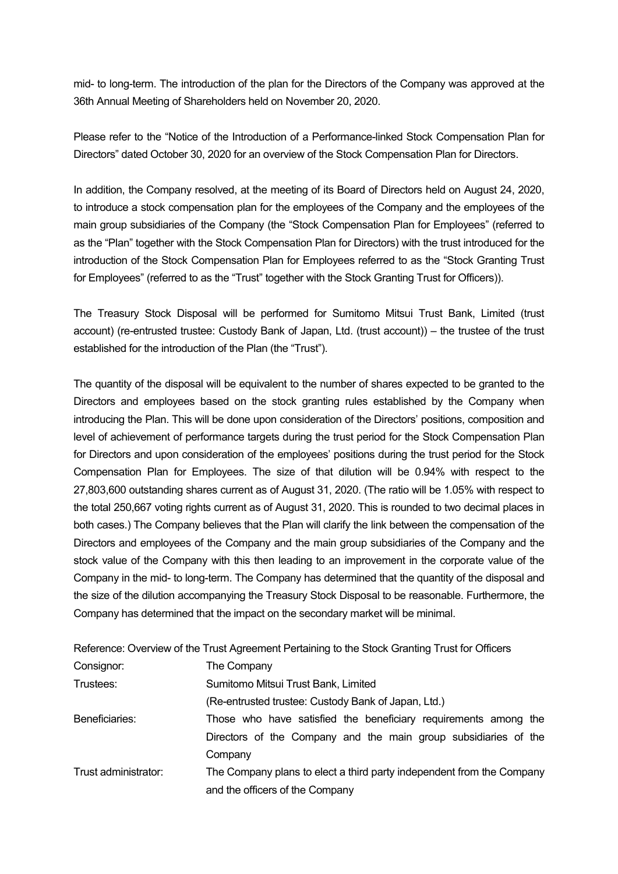mid- to long-term. The introduction of the plan for the Directors of the Company was approved at the 36th Annual Meeting of Shareholders held on November 20, 2020.

Please refer to the "Notice of the Introduction of a Performance-linked Stock Compensation Plan for Directors" dated October 30, 2020 for an overview of the Stock Compensation Plan for Directors.

In addition, the Company resolved, at the meeting of its Board of Directors held on August 24, 2020, to introduce a stock compensation plan for the employees of the Company and the employees of the main group subsidiaries of the Company (the "Stock Compensation Plan for Employees" (referred to as the "Plan" together with the Stock Compensation Plan for Directors) with the trust introduced for the introduction of the Stock Compensation Plan for Employees referred to as the "Stock Granting Trust for Employees" (referred to as the "Trust" together with the Stock Granting Trust for Officers)).

The Treasury Stock Disposal will be performed for Sumitomo Mitsui Trust Bank, Limited (trust account) (re-entrusted trustee: Custody Bank of Japan, Ltd. (trust account)) – the trustee of the trust established for the introduction of the Plan (the "Trust").

The quantity of the disposal will be equivalent to the number of shares expected to be granted to the Directors and employees based on the stock granting rules established by the Company when introducing the Plan. This will be done upon consideration of the Directors' positions, composition and level of achievement of performance targets during the trust period for the Stock Compensation Plan for Directors and upon consideration of the employees' positions during the trust period for the Stock Compensation Plan for Employees. The size of that dilution will be 0.94% with respect to the 27,803,600 outstanding shares current as of August 31, 2020. (The ratio will be 1.05% with respect to the total 250,667 voting rights current as of August 31, 2020. This is rounded to two decimal places in both cases.) The Company believes that the Plan will clarify the link between the compensation of the Directors and employees of the Company and the main group subsidiaries of the Company and the stock value of the Company with this then leading to an improvement in the corporate value of the Company in the mid- to long-term. The Company has determined that the quantity of the disposal and the size of the dilution accompanying the Treasury Stock Disposal to be reasonable. Furthermore, the Company has determined that the impact on the secondary market will be minimal.

|                      | Reference: Overview of the Trust Agreement Pertaining to the Stock Granting Trust for Officers |
|----------------------|------------------------------------------------------------------------------------------------|
| Consignor:           | The Company                                                                                    |
| Trustees:            | Sumitomo Mitsui Trust Bank, Limited                                                            |
|                      | (Re-entrusted trustee: Custody Bank of Japan, Ltd.)                                            |
| Beneficiaries:       | Those who have satisfied the beneficiary requirements among the                                |
|                      | Directors of the Company and the main group subsidiaries of the                                |
|                      | Company                                                                                        |
| Trust administrator: | The Company plans to elect a third party independent from the Company                          |
|                      | and the officers of the Company                                                                |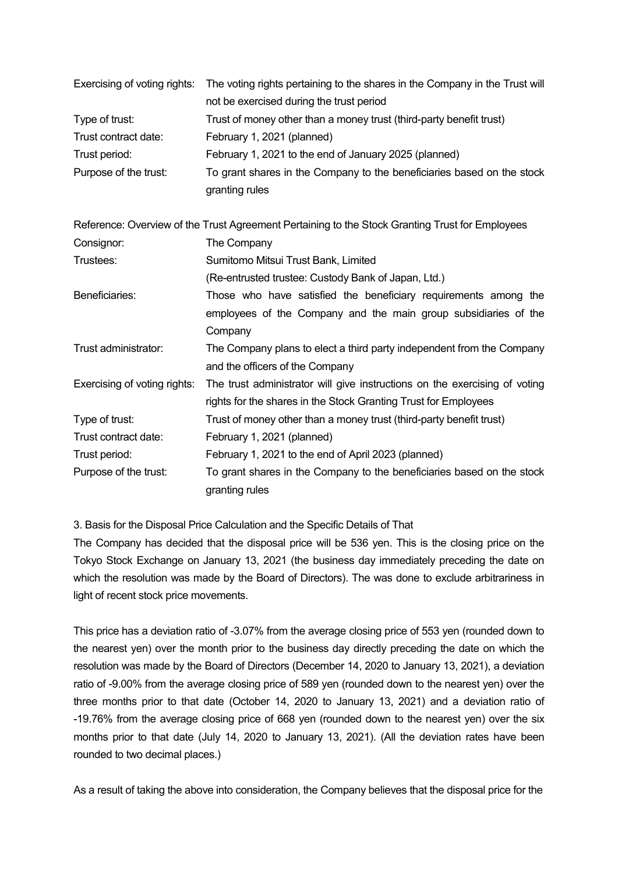| Exercising of voting rights: | The voting rights pertaining to the shares in the Company in the Trust will<br>not be exercised during the trust period |
|------------------------------|-------------------------------------------------------------------------------------------------------------------------|
| Type of trust:               | Trust of money other than a money trust (third-party benefit trust)                                                     |
| Trust contract date:         | February 1, 2021 (planned)                                                                                              |
| Trust period:                | February 1, 2021 to the end of January 2025 (planned)                                                                   |
| Purpose of the trust:        | To grant shares in the Company to the beneficiaries based on the stock                                                  |
|                              | granting rules                                                                                                          |
|                              | Reference: Overview of the Trust Agreement Pertaining to the Stock Granting Trust for Employees                         |
| Consignor:                   | The Company                                                                                                             |
| Trustees:                    | Sumitomo Mitsui Trust Bank, Limited                                                                                     |
|                              | (Re-entrusted trustee: Custody Bank of Japan, Ltd.)                                                                     |
| Beneficiaries:               | Those who have satisfied the beneficiary requirements among the                                                         |
|                              | employees of the Company and the main group subsidiaries of the                                                         |
|                              | Company                                                                                                                 |
| Trust administrator:         | The Company plans to elect a third party independent from the Company                                                   |
|                              | and the officers of the Company                                                                                         |
| Exercising of voting rights: | The trust administrator will give instructions on the exercising of voting                                              |
|                              | rights for the shares in the Stock Granting Trust for Employees                                                         |
| Type of trust:               | Trust of money other than a money trust (third-party benefit trust)                                                     |
| Trust contract date:         | February 1, 2021 (planned)                                                                                              |
| Trust period:                | February 1, 2021 to the end of April 2023 (planned)                                                                     |
| Purpose of the trust:        | To grant shares in the Company to the beneficiaries based on the stock                                                  |
|                              | granting rules                                                                                                          |

3. Basis for the Disposal Price Calculation and the Specific Details of That

The Company has decided that the disposal price will be 536 yen. This is the closing price on the Tokyo Stock Exchange on January 13, 2021 (the business day immediately preceding the date on which the resolution was made by the Board of Directors). The was done to exclude arbitrariness in light of recent stock price movements.

This price has a deviation ratio of -3.07% from the average closing price of 553 yen (rounded down to the nearest yen) over the month prior to the business day directly preceding the date on which the resolution was made by the Board of Directors (December 14, 2020 to January 13, 2021), a deviation ratio of -9.00% from the average closing price of 589 yen (rounded down to the nearest yen) over the three months prior to that date (October 14, 2020 to January 13, 2021) and a deviation ratio of -19.76% from the average closing price of 668 yen (rounded down to the nearest yen) over the six months prior to that date (July 14, 2020 to January 13, 2021). (All the deviation rates have been rounded to two decimal places.)

As a result of taking the above into consideration, the Company believes that the disposal price for the